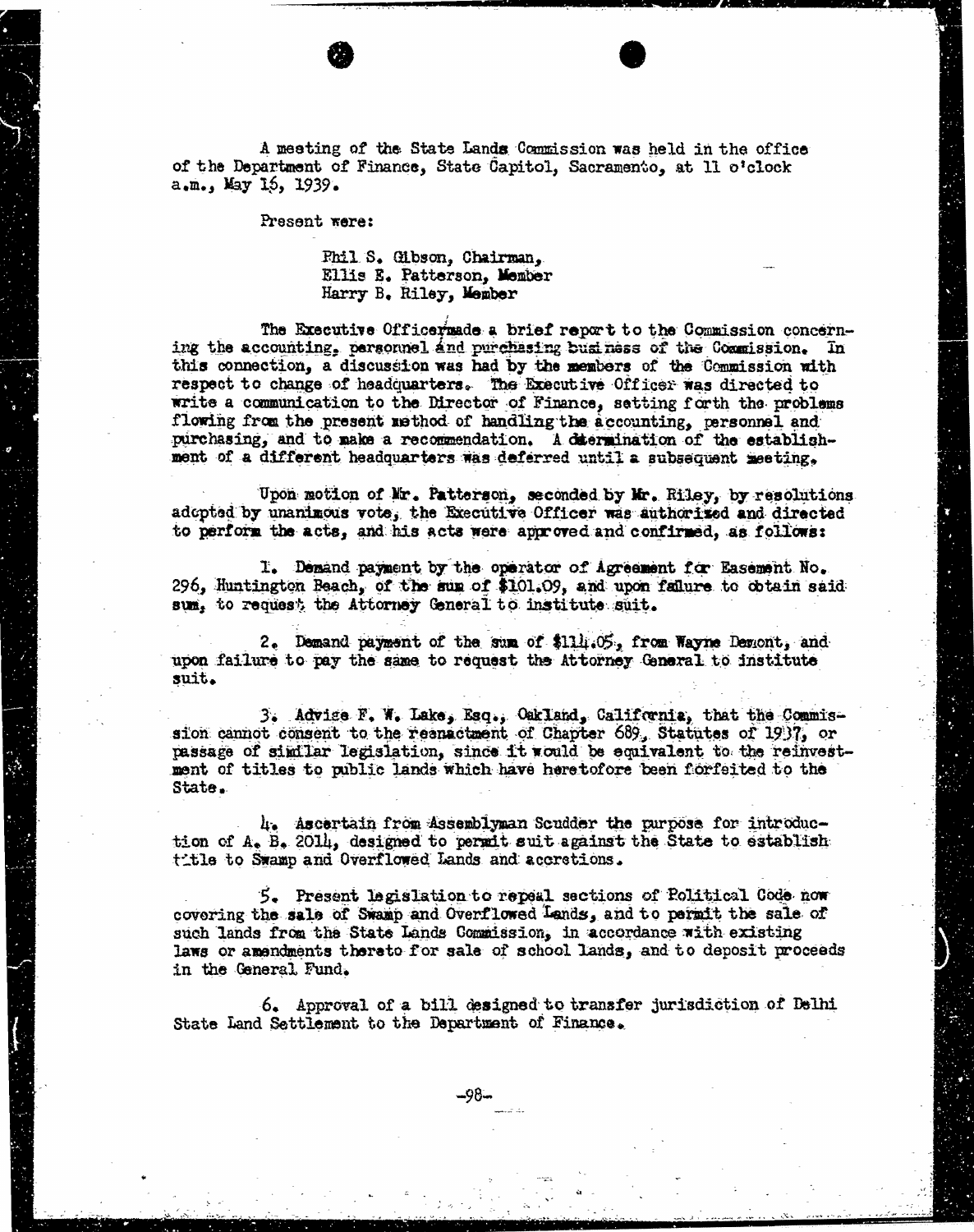A meeting of the State Lands Commission was held in the office of the Department of Finance, State Capitol, Sacramento, at 11 o'clock a.m., May 15, 1939.

Present were:

Phil S. Gibson, Chairman, Ellis E. Patterson, Member Harry B. Riley, Member

The Executive Officermade a brief report to the Commission concern-<br>ing the accounting, personnel and purchasing business of the Commission. In this connection, a discussion was had by the members of the Commission with respect to change of headquarters. The Executive Officer was directed to write a communication to the Director of Finance, setting forth the problems flowing from the present method of handling the accounting, personnel and purchasing, and to make a recommendation. A ditermination of the establishment of a different headquarters was deferred until a subsequent meeting,

Upon motion of Mr. Patterson, seconded by Mr. Riley, by resolutions adopted by unanimous vote, the Executive Officer was authorized and directed to perform the acts, and his acts were approved and confirmed, as follows:

I. Demand payment by the operator of Agreement for Easement No. 296, Huntington Beach, of the sum of \$101.09, and upon failure to obtain said sum, to request the Attorney General to institute suit.

2. Demand payment of the sum of \$114.05, from Wayne Demont, and upon failure to pay the same to request the Attorney General to institute suit.

3. Advice F. W. Lake, Esq.; Oakland, California, that the Commis- sion cannot consent to the reanactment of Chapter 689, Statutes of 1937, or passage of similar legislation, since it would be equivalent to the reinvestment of titles to public lands which have here tofore been forfeited to the State.

4. Ascertain from Assemblyman Scudder the purpose for introduc-<br>tion of A. B. 2014, designed to permit suit against the State to establish title to Swamp and Overflowed Lands and accretions.

5. Present legislation to repeal sections of Political Code now covering the sale of Swamp and Overflowed Lands, and to permit the sale of such lands from the State Lands Commission, in accordance with existing laws or amendments thereto for sale of school lands, and to deposit proceeds in the General Fund.

6. Approval of a bill designed to transfer jurisdiction of Delhi State Land Settlement to the Department of Finance.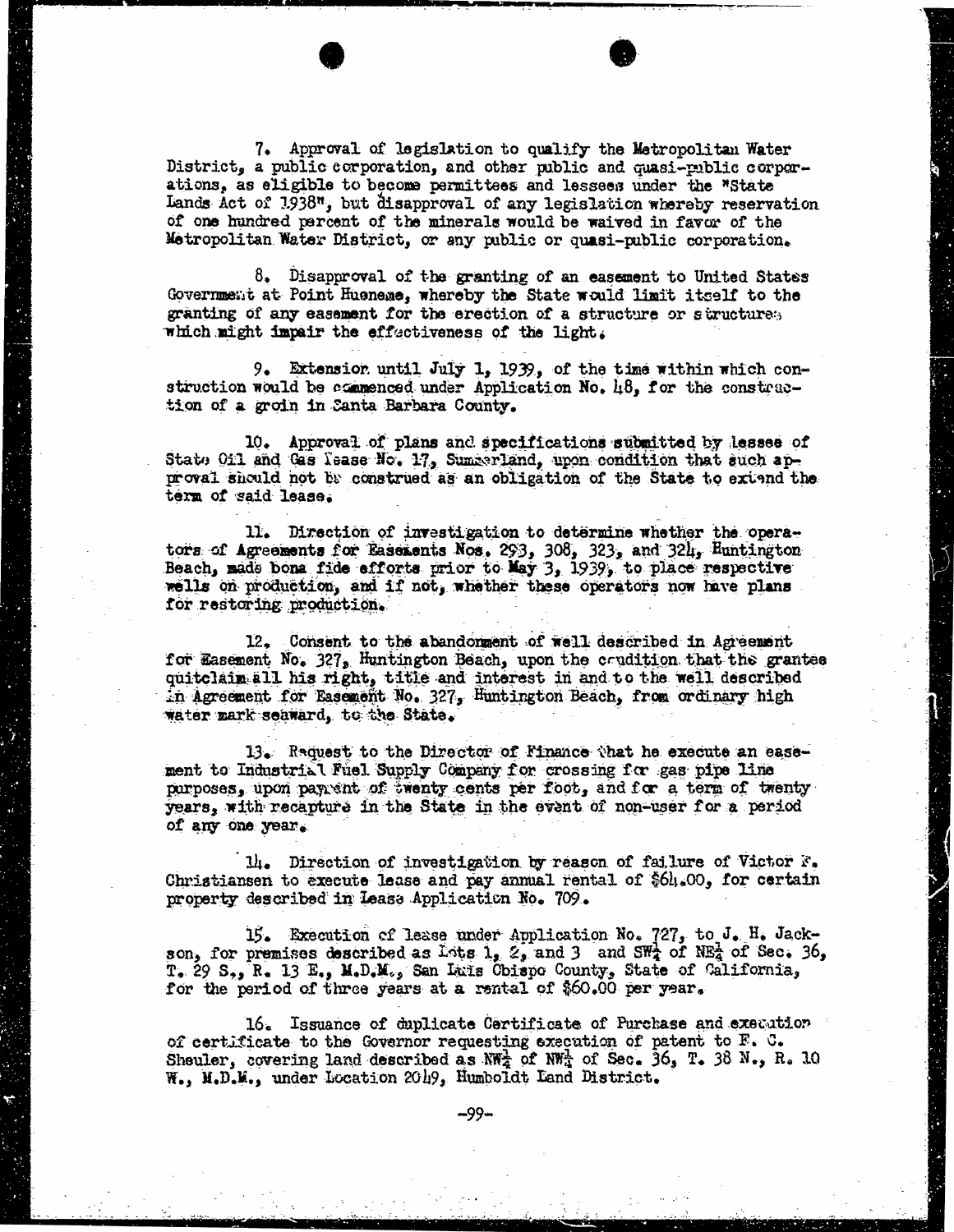7. Approval of legislation to qualify the Metropolitan Water District, a public corporation, and other public and quasi-public corporations, as eligible to become permittees and lessees under the "State Lands Act of 1938", but disapproval of any legislation whereby reservation of one hundred percent of the minerals would be waived in favor of the Metropolitan Water District, or any public or quasi-public corporation.

 $8.$  Disapproval of the granting of an easement to United States Government at Point Hueneme, whereby the State would limit itself to the granting of any easement for the erection of a structure or structures which might impair the effectiveness of the light.

9. Extension until July 1, 1939, of the time within which con-<br>struction would be commenced under Application No. 48, for the construction of a groin in Santa Barbara County.

10. Approval of plans and specifications submitted by lessee of State Oil and Gas lease No. 17, Summerland, upon condition that such approval should not be construed as an obligation of the State to extand the term of said lease.

11. Direction of investigation to determine whether the operators of Agreements for Easements Nos.  $293, 308, 323,$  and  $324,$  Hunti Beach, made bona fide efforts prior to May 3, 1939, to place respective wells on production, and if not, whether these operators now have plans for restoring production.

12. Consent to the abandonment of well described in Agreement for Easement, No. 327, Huntington Beach, upon the erudition that the grantee quitclaim all his right, title and interest in and to the well described in Agreement for Easement No. 327, Huntington Beach, from ordinary high water mark soaward, to the State.

13. Raquest to the Director of Finance that he execute an ease- ment to Industrial Fuel Supply Company for crossing for gas pipe line purposes, upon paytint of twenty cents per foot, and for a term of twenty years, with recapture in the State in the event of non-user for a period of any one year.

14. Direction of investigation by reason of failure of Victor F. Christiansen to execute lease and pay annual rental of \$64.00, for certain property described in lease Application No. 709.

15. Execution of lease under Application No. 727, to J. H. Jack-<br>son, for premises described as Lots 1, 2, and 3 and SWA of NEA of Sec. 36, T. 29 S,, R. 13 E., M.D.M., San Luis Obispo County, State of California, for the period of three years at a rental of \$60.00 per year.

16. Issuance of duplicate Certificate of Purchase and execution of certificate to the Governor requesting execution of patent to F. C. Sheuler, covering land described as  $NW_2^2$  of  $NW_3^1$  of Sec. 36, T. 38 N., R. 10 W., M.D.M., under Location 2049, Humboldt Land District.